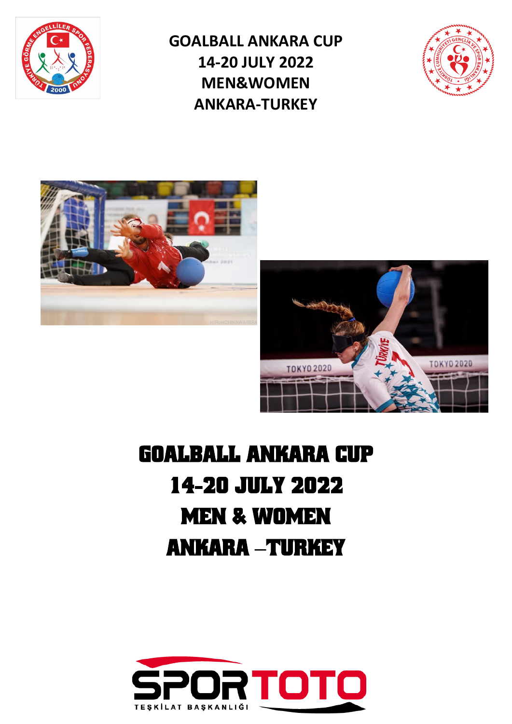

**GOALBALL ANKARA CUP 14-20 JULY 2022 MEN&WOMEN ANKARA-TURKEY**







# GOALBALL ANKARA CUP 14-20 JULY 2022 MEN & WOMEN ANKARA **–**TURKEY

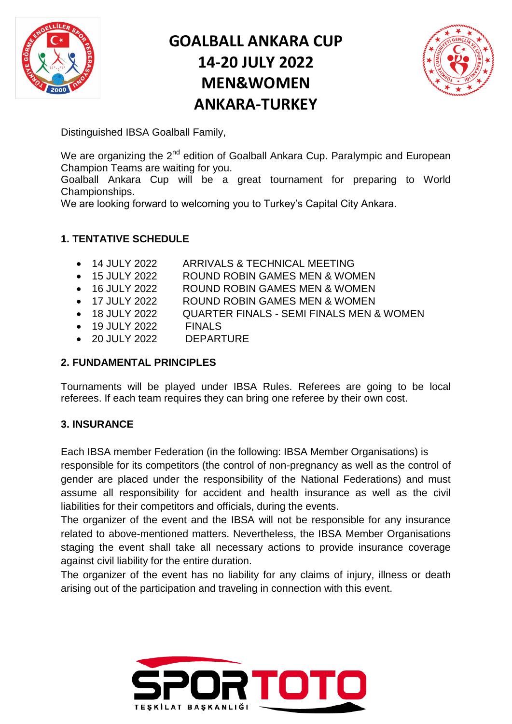

# **GOALBALL ANKARA CUP 14-20 JULY 2022 MEN&WOMEN ANKARA-TURKEY**



Distinguished IBSA Goalball Family,

We are organizing the  $2^{nd}$  edition of Goalball Ankara Cup. Paralympic and European Champion Teams are waiting for you.

Goalball Ankara Cup will be a great tournament for preparing to World Championships.

We are looking forward to welcoming you to Turkey's Capital City Ankara.

## **1. TENTATIVE SCHEDULE**

- 14 JULY 2022 ARRIVALS & TECHNICAL MEETING
- 15 JULY 2022 ROUND ROBIN GAMES MEN & WOMEN
- 16 JULY 2022 ROUND ROBIN GAMES MEN & WOMEN
- 17 JULY 2022 ROUND ROBIN GAMES MEN & WOMEN
- 18 JULY 2022 QUARTER FINALS SEMI FINALS MEN & WOMEN
- 19 JULY 2022 FINALS
- 20 JULY 2022 DEPARTURE

## **2. FUNDAMENTAL PRINCIPLES**

Tournaments will be played under IBSA Rules. Referees are going to be local referees. If each team requires they can bring one referee by their own cost.

## **3. INSURANCE**

Each IBSA member Federation (in the following: IBSA Member Organisations) is responsible for its competitors (the control of non-pregnancy as well as the control of gender are placed under the responsibility of the National Federations) and must assume all responsibility for accident and health insurance as well as the civil liabilities for their competitors and officials, during the events.

The organizer of the event and the IBSA will not be responsible for any insurance related to above-mentioned matters. Nevertheless, the IBSA Member Organisations staging the event shall take all necessary actions to provide insurance coverage against civil liability for the entire duration.

The organizer of the event has no liability for any claims of injury, illness or death arising out of the participation and traveling in connection with this event.